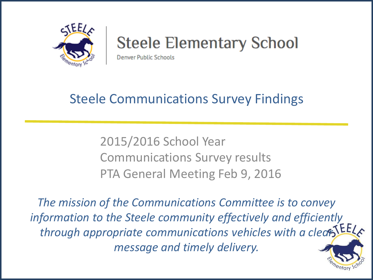

# **Steele Elementary School**

**Denver Public Schools** 

## Steele Communications Survey Findings

2015/2016 School Year Communications Survey results PTA General Meeting Feb 9, 2016

*The mission of the Communications Committee is to convey information to the Steele community effectively and efficiently*  through appropriate communications vehicles with a clear [EE] *message and timely delivery.*

nentary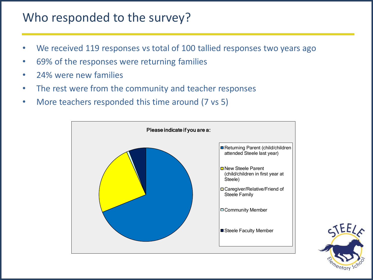#### Who responded to the survey?

- We received 119 responses vs total of 100 tallied responses two years ago
- 69% of the responses were returning families
- 24% were new families
- The rest were from the community and teacher responses
- More teachers responded this time around (7 vs 5)



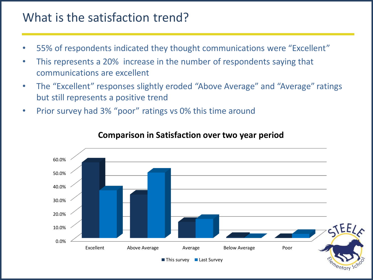#### What is the satisfaction trend?

- 55% of respondents indicated they thought communications were "Excellent"
- This represents a 20% increase in the number of respondents saying that communications are excellent
- The "Excellent" responses slightly eroded "Above Average" and "Average" ratings but still represents a positive trend
- Prior survey had 3% "poor" ratings vs 0% this time around



#### **Comparison in Satisfaction over two year period**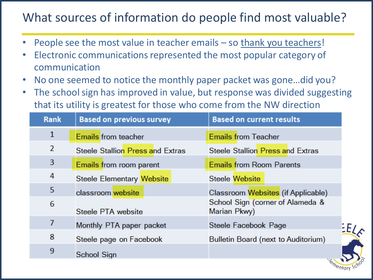### What sources of information do people find most valuable?

- People see the most value in teacher emails so thank you teachers!
- Electronic communications represented the most popular category of communication
- No one seemed to notice the monthly paper packet was gone…did you?
- The school sign has improved in value, but response was divided suggesting that its utility is greatest for those who come from the NW direction

| <b>Rank</b>  | <b>Based on previous survey</b>  | <b>Based on current results</b>                  |
|--------------|----------------------------------|--------------------------------------------------|
| $\mathbf{1}$ | <b>Emails</b> from teacher       | <b>Emails from Teacher</b>                       |
| 2            | Steele Stallion Press and Extras | Steele Stallion Press and Extras                 |
| 3            | Emails from room parent          | <b>Emails from Room Parents</b>                  |
| 4            | Steele Elementary Website        | <b>Steele Website</b>                            |
| 5            | classroom website                | Classroom Websites (if Applicable)               |
| 6            | Steele PTA website               | School Sign (corner of Alameda &<br>Marian Pkwy) |
| 7            | Monthly PTA paper packet         | Steele Facebook Page<br>ΕE                       |
| 8            | Steele page on Facebook          | Bulletin Board (next to Auditorium)              |
| 9            | School Sign                      | VZ.                                              |

mentary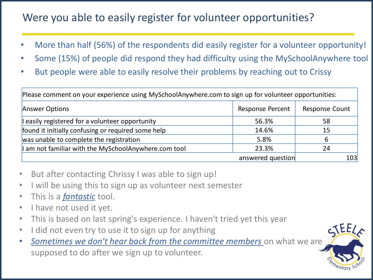#### Were you able to easily register for volunteer opportunities?

- More than half (56%) of the respondents did easily register for a volunteer opportunity!
- Some (15%) of people did respond they had difficulty using the MySchoolAnywhere tool
- But people were able to easily resolve their problems by reaching out to Crissy

Please comment on your experience using MySchoolAnywhere.com to sign up for volunteer opportunities:

| <b>Answer Options</b>                                | <b>Response Percent</b> | <b>Response Count</b> |
|------------------------------------------------------|-------------------------|-----------------------|
| I easily registered for a volunteer opportunity      | 56.3%                   | 58                    |
| found it initially confusing or required some help   | 14.6%                   | 15                    |
| was unable to complete the registration              | 5.8%                    | 6                     |
| I am not familiar with the MySchoolAnywhere.com tool | 23.3%                   | 24                    |
|                                                      | answered question       | 103                   |

- But after contacting Chrissy I was able to sign up!
- I will be using this to sign up as volunteer next semester
- This is a *fantastic* tool.
- I have not used it yet.
- This is based on last spring's experience. I haven't tried yet this year
- I did not even try to use it to sign up for anything
- *Sometimes we don't hear back from the committee members* on what we are supposed to do after we sign up to volunteer.

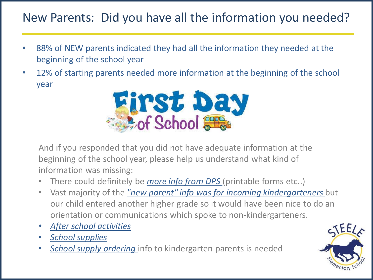### New Parents: Did you have all the information you needed?

- 88% of NEW parents indicated they had all the information they needed at the beginning of the school year
- 12% of starting parents needed more information at the beginning of the school year



And if you responded that you did not have adequate information at the beginning of the school year, please help us understand what kind of information was missing:

- There could definitely be *more info from DPS* (printable forms etc..)
- Vast majority of the *"new parent" info was for incoming kindergarteners* but our child entered another higher grade so it would have been nice to do an orientation or communications which spoke to non-kindergarteners.
- *After school activities*
- *School supplies*
- *School supply ordering* info to kindergarten parents is needed

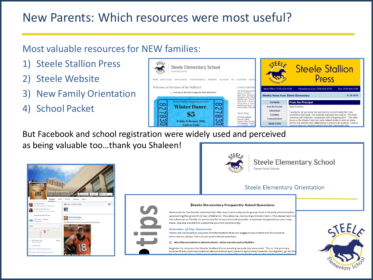### New Parents: Which resources were most useful?

#### Most valuable resources for NEW families:

- 1) Steele Stallion Press
- **Steele Website**
- 3) New Family Orientation
- 4) School Packet



But Facebook and school registration were widely used and perceived as being valuable too…thank you Shaleen!





mentary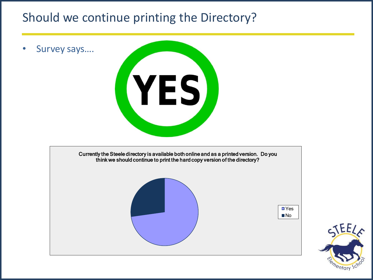#### Should we continue printing the Directory?

• Survey says....





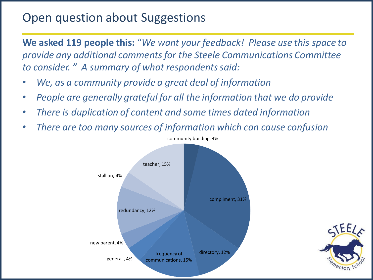#### Open question about Suggestions

**We asked 119 people this:** "*We want your feedback! Please use this space to provide any additional comments for the Steele Communications Committee to consider. " A summary of what respondents said:*

- *We, as a community provide a great deal of information*
- *People are generally grateful for all the information that we do provide*
- *There is duplication of content and some times dated information*
- *There are too many sources of information which can cause confusion*



nentary

community building, 4%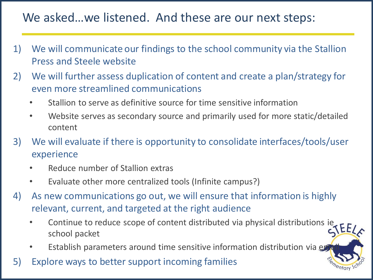#### We asked…we listened. And these are our next steps:

- 1) We will communicate our findings to the school community via the Stallion Press and Steele website
- 2) We will further assess duplication of content and create a plan/strategy for even more streamlined communications
	- Stallion to serve as definitive source for time sensitive information
	- Website serves as secondary source and primarily used for more static/detailed content
- 3) We will evaluate if there is opportunity to consolidate interfaces/tools/user experience
	- Reduce number of Stallion extras
	- Evaluate other more centralized tools (Infinite campus?)
- 4) As new communications go out, we will ensure that information is highly relevant, current, and targeted at the right audience
	- Continue to reduce scope of content distributed via physical distributions ie school packet
	- Establish parameters around time sensitive information distribution via example
- 5) Explore ways to better support incoming families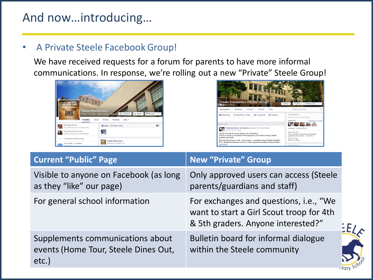#### And now…introducing…

#### • A Private Steele Facebook Group!

We have received requests for a forum for parents to have more informal communications. In response, we're rolling out a new "Private" Steele Group!





| <b>Current "Public" Page</b>                                                         | <b>New "Private" Group</b>                                                                                               |  |
|--------------------------------------------------------------------------------------|--------------------------------------------------------------------------------------------------------------------------|--|
| Visible to anyone on Facebook (as long<br>as they "like" our page)                   | Only approved users can access (Steele<br>parents/guardians and staff)                                                   |  |
| For general school information                                                       | For exchanges and questions, i.e., "We<br>want to start a Girl Scout troop for 4th<br>& 5th graders. Anyone interested?" |  |
| Supplements communications about<br>events (Home Tour, Steele Dines Out,<br>$etc.$ ) | Bulletin board for informal dialogue<br>within the Steele community                                                      |  |